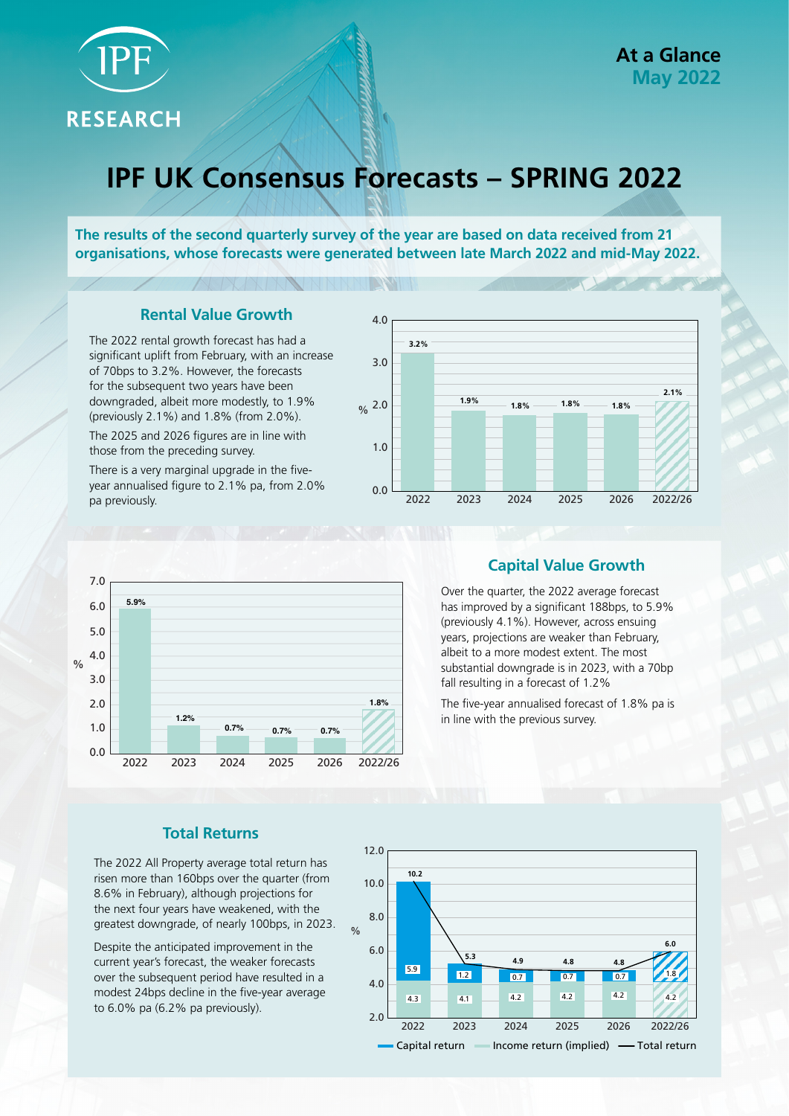

**RESEARCH** 

# **IPF UK Consensus Forecasts – SPRING 2022**

**The results of the second quarterly survey of the year are based on data received from 21 organisations, whose forecasts were generated between late March 2022 and mid-May 2022.**

**BANDAR** 

## **Rental Value Growth**

The 2022 rental growth forecast has had a significant uplift from February, with an increase of 70bps to 3.2%. However, the forecasts for the subsequent two years have been downgraded, albeit more modestly, to 1.9% (previously 2.1%) and 1.8% (from 2.0%).

The 2025 and 2026 figures are in line with those from the preceding survey.

There is a very marginal upgrade in the fiveyear annualised figure to 2.1% pa, from 2.0% pa previously.





## **Capital Value Growth**

Over the quarter, the 2022 average forecast has improved by a significant 188bps, to 5.9% (previously 4.1%). However, across ensuing years, projections are weaker than February, albeit to a more modest extent. The most substantial downgrade is in 2023, with a 70bp fall resulting in a forecast of 1.2%

The five-year annualised forecast of 1.8% pa is in line with the previous survey.

## **Total Returns**

The 2022 All Property average total return has risen more than 160bps over the quarter (from 8.6% in February), although projections for the next four years have weakened, with the greatest downgrade, of nearly 100bps, in 2023.

Despite the anticipated improvement in the current year's forecast, the weaker forecasts over the subsequent period have resulted in a modest 24bps decline in the five-year average to 6.0% pa (6.2% pa previously).